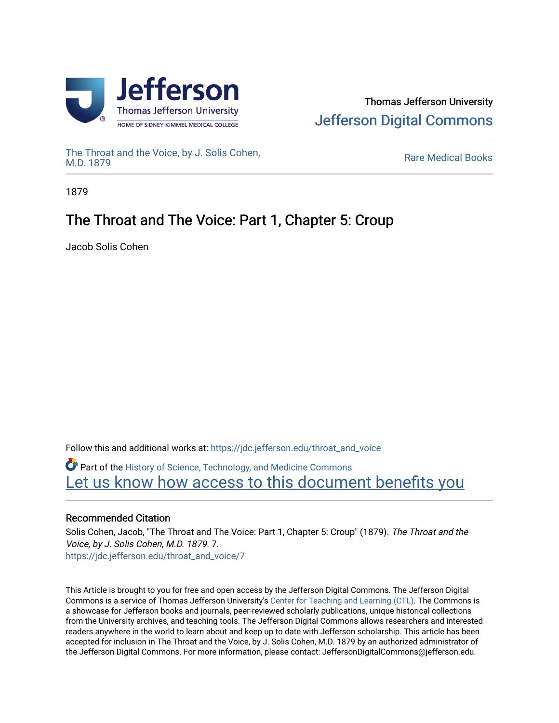

# Thomas Jefferson University [Jefferson Digital Commons](https://jdc.jefferson.edu/)

[The Throat and the Voice, by J. Solis Cohen,](https://jdc.jefferson.edu/throat_and_voice)

**Rare Medical Books** 

1879

# The Throat and The Voice: Part 1, Chapter 5: Croup

Jacob Solis Cohen

Follow this and additional works at: [https://jdc.jefferson.edu/throat\\_and\\_voice](https://jdc.jefferson.edu/throat_and_voice?utm_source=jdc.jefferson.edu%2Fthroat_and_voice%2F7&utm_medium=PDF&utm_campaign=PDFCoverPages) **P** Part of the History of Science, Technology, and Medicine Commons Let us know how access to this document benefits you

## Recommended Citation

Solis Cohen, Jacob, "The Throat and The Voice: Part 1, Chapter 5: Croup" (1879). The Throat and the Voice, by J. Solis Cohen, M.D. 1879. 7. [https://jdc.jefferson.edu/throat\\_and\\_voice/7](https://jdc.jefferson.edu/throat_and_voice/7?utm_source=jdc.jefferson.edu%2Fthroat_and_voice%2F7&utm_medium=PDF&utm_campaign=PDFCoverPages)

This Article is brought to you for free and open access by the Jefferson Digital Commons. The Jefferson Digital Commons is a service of Thomas Jefferson University's [Center for Teaching and Learning \(CTL\)](http://www.jefferson.edu/university/teaching-learning.html/). The Commons is a showcase for Jefferson books and journals, peer-reviewed scholarly publications, unique historical collections from the University archives, and teaching tools. The Jefferson Digital Commons allows researchers and interested readers anywhere in the world to learn about and keep up to date with Jefferson scholarship. This article has been accepted for inclusion in The Throat and the Voice, by J. Solis Cohen, M.D. 1879 by an authorized administrator of the Jefferson Digital Commons. For more information, please contact: JeffersonDigitalCommons@jefferson.edu.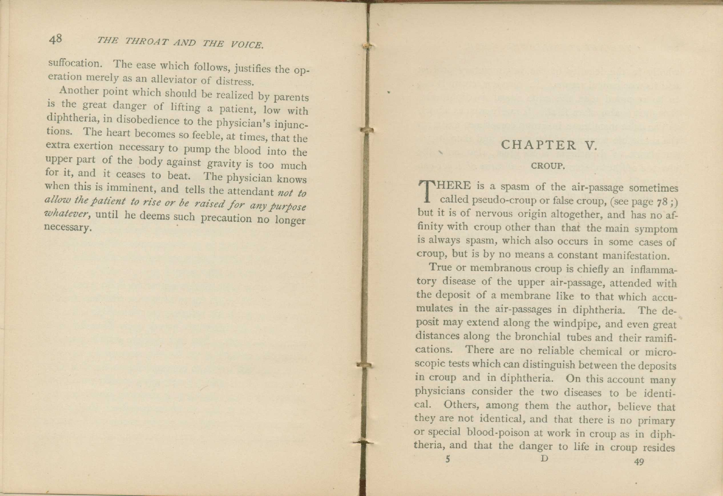## 48 *THE THROAT AND THE VOICE.*

suffocation. The ease which follows, justifies the operation merely as an alleviator of distress.

Another point which should be realized by parents is the great danger of lifting a patient, low with diphtheria, in disobedience to the physician's injunctions. The heart becomes so feeble, at times, that the extra exertion necessary to pump the blood into the upper part of the body against gravity is too much for it, and it ceases to beat. The physician knows when this is imminent, and tells the attendant *not to allow the patient to rise or be raised for any purpose whatever,* until he deems such precaution no longer necessary.

### CHAPTER V.

#### CROUP.

THERE is a spasm of the air-passage sometimes<br>called pseudo-croup or false croup, (see page 78;) called pseudo-croup or false croup, (see page 78 ;) but it is of nervous origin altogether, and has no affinity with croup other than that the main symptom is always spasm, which also occurs in some cases of croup, but is by no means a constant manifestation.

True or membranous croup is chiefly an inflammatory disease of the upper air-passage, attended with the deposit of a membrane like to that which accumulates in the air-passages in diphtheria. The deposit may extend along the windpipe, and even great distances along the bronchial tubes and their ramifications. There are no reliable chemical or microscopic tests which can distinguish between the deposits in croup and in diphtheria. On this account many physicians consider the two diseases to be identical. Others, among them the author, believe that they are not identical, and that there is no primary or special blood-poison at work in croup as in diphheria, and that the danger to life in croup resides  $\overline{D}$  49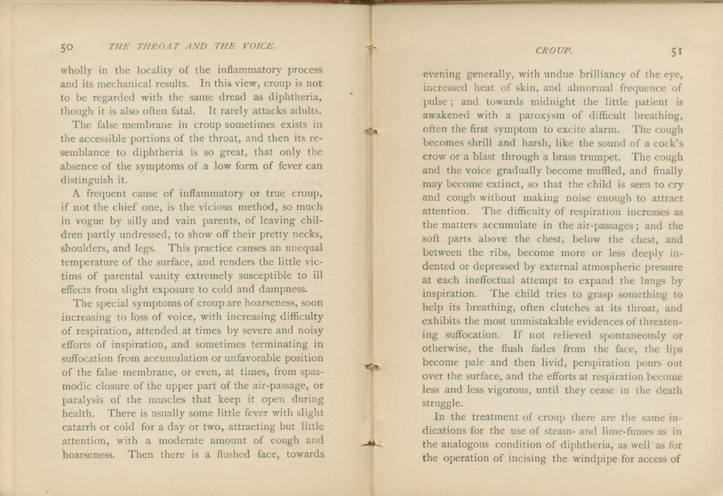#### 5o *THE THROAT AND THE VOICE.*

wholly in the locality of the inflammatory process and its mechanical results. In this view, croup is not to be regarded with the same dread as diphtheria, though it is also often fatal. It rarely attacks adults.

The false membrane in croup sometimes exists in the accessible portions of the throat, and then its resemblance to diphtheria is so great, that only the absence of the symptoms of a low form of fever can distinguish it.

A frequent cause of inflammatory or true croup, if not the chief one, is the vicious method, so much in vogue by silly and vain parents, of leaving children partly undressed, to show off their pretty necks, shoulders, and legs. This practice causes an unequal temperature of the surface, and renders the little victims of parental vanity extremely susceptible to ill effects from slight exposure to cold and dampness.

The special symptoms of croup are hoarseness, soon increasing to loss of voice, with increasing difficulty of respiration, attended at times by severe and noisy efforts of inspiration, and sometimes terminating in suffocation from accumulation or unfavorable position of the false membrane, or even, at times, from spasmodic closure of the upper part of the air-passage, or paralysis of the muscles that keep it open during health. There is usually some little fever with slight catarrh or cold for a day or two, attracting but little attention, with a moderate amount of cough and hoarseness. Then there is a flushed face, towards

#### *CROUP.* 51

evening generally, with undue brilliancy of the eye, increased heat of skin, and abnormal frequence of pulse ; and towards midnight the little patient is awakened with a paroxysm of difficult breathing, often the first symptom to excite alarm. The cough becomes shrill and harsh, like the sound of a cock's crow or a blast through a brass trumpet. The cough and the voice gradually become muffled, and finally may become extinct, so that the child is seen to cry and cough without making noise enough to attract attention. The difficulty of respiration increases as the matters accumulate in the air-passages ; and the soft parts above the chest, below the chest, and between the ribs, become more or less deeply indented or depressed by external atmospheric pressure at each ineffectual attempt to expand the lungs by inspiration. The child tries to grasp something to help its breathing, often clutches at its throat, and exhibits the most unmistakable evidences of threatening suffocation. If not relieved spontaneously or otherwise, the flush fades from the face, the lips become pale and then livid, perspiration pours out over the surface, and the efforts at respiration become less and less vigorous, until they cease in the death struggle.

In the treatment of croup there are the same indications for the use of steam- and lime-fumes as in the analogous condition of diphtheria, as well as for the operation of incising the windpipe for access of